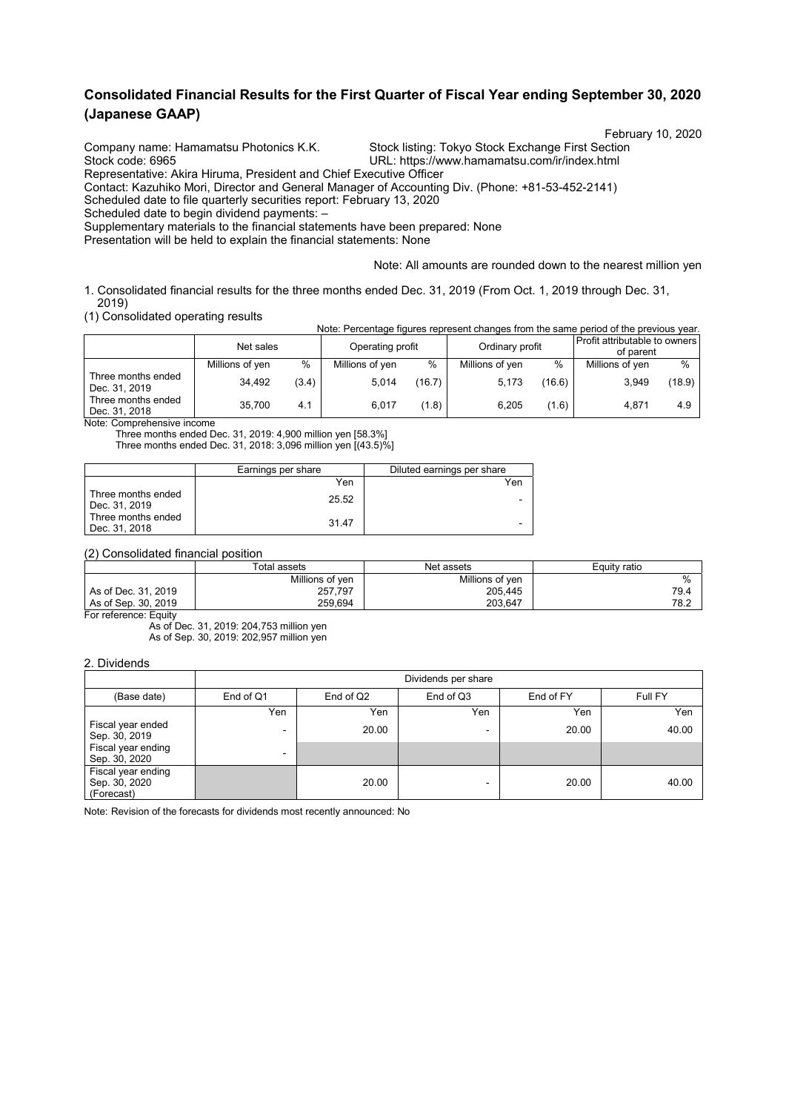## **Consolidated Financial Results for the First Quarter of Fiscal Year ending September 30, 2020 (Japanese GAAP)**

Company name: Hamamatsu Photonics K.K. Stock listing: Tokyo Stock Exchange First Section<br>Stock code: 6965 Stock Code: 6965

February 10, 2020<br>Company name: Hamamatsu Photonics K.K. Stock listing: Tokyo Stock Exchange First Section

URL: https://www.hamamatsu.com/ir/index.html

Representative: Akira Hiruma, President and Chief Executive Officer

Contact: Kazuhiko Mori, Director and General Manager of Accounting Div. (Phone: +81-53-452-2141)

Scheduled date to file quarterly securities report: February 13, 2020

Scheduled date to begin dividend payments: –

Supplementary materials to the financial statements have been prepared: None

Presentation will be held to explain the financial statements: None

Note: All amounts are rounded down to the nearest million yen

1. Consolidated financial results for the three months ended Dec. 31, 2019 (From Oct. 1, 2019 through Dec. 31, 2019)

(1) Consolidated operating results

| u i oonsolidated operating results<br>Note: Percentage figures represent changes from the same period of the previous year. |                 |       |                  |        |                 |        |                                            |        |  |  |
|-----------------------------------------------------------------------------------------------------------------------------|-----------------|-------|------------------|--------|-----------------|--------|--------------------------------------------|--------|--|--|
|                                                                                                                             | Net sales       |       | Operating profit |        | Ordinary profit |        | Profit attributable to owners<br>of parent |        |  |  |
|                                                                                                                             | Millions of yen | %     | Millions of yen  | %      | Millions of yen | %      | Millions of yen                            | $\%$   |  |  |
| Three months ended<br>Dec. 31, 2019                                                                                         | 34.492          | (3.4) | 5.014            | (16.7) | 5,173           | (16.6) | 3.949                                      | (18.9) |  |  |
| Three months ended<br>Dec. 31, 2018                                                                                         | 35.700          | 4.1   | 6.017            | (1.8)  | 6.205           | (1.6)  | 4.871                                      | 4.9    |  |  |

Note: Comprehensive income

Three months ended Dec. 31, 2019: 4,900 million yen [58.3%] Three months ended Dec. 31, 2018: 3,096 million yen [(43.5)%]

|                                     | Earnings per share | Diluted earnings per share |
|-------------------------------------|--------------------|----------------------------|
|                                     | Yen                | Yen                        |
| Three months ended<br>Dec. 31, 2019 | 25.52              | $\blacksquare$             |
| Three months ended<br>Dec. 31, 2018 | 31.47              | $\overline{\phantom{0}}$   |

(2) Consolidated financial position

|                     | Total assets    | Net assets      | Equity ratio |
|---------------------|-----------------|-----------------|--------------|
|                     | Millions of ven | Millions of ven | $\%$         |
| As of Dec. 31, 2019 | 257,797         | 205.445         | 79.4         |
| As of Sep. 30, 2019 | 259.694         | 203.647         | 78.2         |

For reference: Equity

As of Dec. 31, 2019: 204,753 million yen As of Sep. 30, 2019: 202,957 million yen

#### 2. Dividends

|                                                   |           | Dividends per share |           |           |         |  |  |  |  |  |
|---------------------------------------------------|-----------|---------------------|-----------|-----------|---------|--|--|--|--|--|
| (Base date)                                       | End of Q1 | End of Q2           | End of Q3 | End of FY | Full FY |  |  |  |  |  |
|                                                   | Yen       | Yen                 | Yen       | Yen       | Yen     |  |  |  |  |  |
| Fiscal year ended<br>Sep. 30, 2019                | ۰         | 20.00               |           | 20.00     | 40.00   |  |  |  |  |  |
| Fiscal year ending<br>Sep. 30, 2020               | $\sim$    |                     |           |           |         |  |  |  |  |  |
| Fiscal year ending<br>Sep. 30, 2020<br>(Forecast) |           | 20.00               |           | 20.00     | 40.00   |  |  |  |  |  |

Note: Revision of the forecasts for dividends most recently announced: No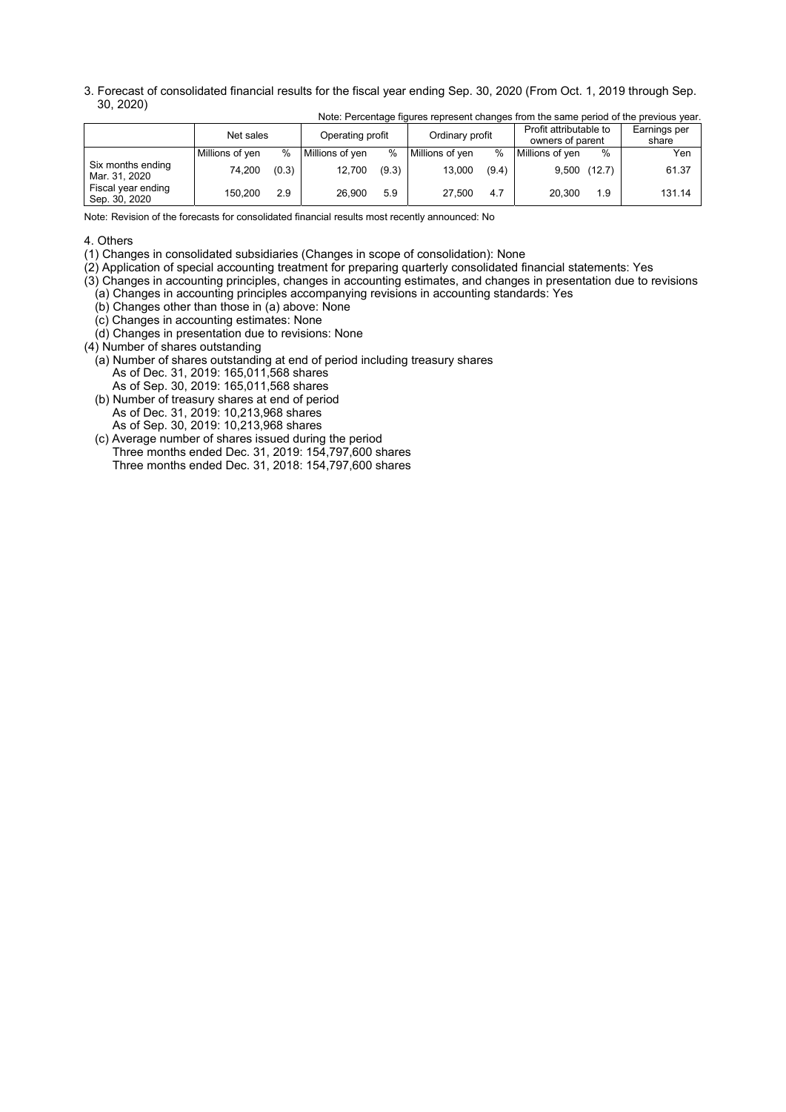3. Forecast of consolidated financial results for the fiscal year ending Sep. 30, 2020 (From Oct. 1, 2019 through Sep. 30, 2020)

|                                     | Net sales       |       | Operating profit |       | Ordinary profit |       | Profit attributable to<br>owners of parent |               | Earnings per<br>share |
|-------------------------------------|-----------------|-------|------------------|-------|-----------------|-------|--------------------------------------------|---------------|-----------------------|
|                                     | Millions of ven | $\%$  | Millions of ven  | $\%$  | Millions of ven | %     | Millions of ven                            | $\frac{0}{0}$ | Yen                   |
| Six months ending<br>Mar. 31, 2020  | 74,200          | (0.3) | 12,700           | (9.3) | 13,000          | (9.4) | $9,500$ (12.7)                             |               | 61.37                 |
| Fiscal year ending<br>Sep. 30, 2020 | 150.200         | 2.9   | 26.900           | 5.9   | 27.500          | 4.7   | 20.300                                     | 1.9           | 131.14                |

Note: Percentage figures represent changes from the same period of the previous year.

Note: Revision of the forecasts for consolidated financial results most recently announced: No

#### 4. Others

(1) Changes in consolidated subsidiaries (Changes in scope of consolidation): None

(2) Application of special accounting treatment for preparing quarterly consolidated financial statements: Yes

(3) Changes in accounting principles, changes in accounting estimates, and changes in presentation due to revisions (a) Changes in accounting principles accompanying revisions in accounting standards: Yes

- (b) Changes other than those in (a) above: None
- (c) Changes in accounting estimates: None
- (d) Changes in presentation due to revisions: None

(4) Number of shares outstanding

(a) Number of shares outstanding at end of period including treasury shares

- As of Dec. 31, 2019: 165,011,568 shares
- As of Sep. 30, 2019: 165,011,568 shares (b) Number of treasury shares at end of period
- As of Dec. 31, 2019: 10,213,968 shares As of Sep. 30, 2019: 10,213,968 shares
- (c) Average number of shares issued during the period Three months ended Dec. 31, 2019: 154,797,600 shares Three months ended Dec. 31, 2018: 154,797,600 shares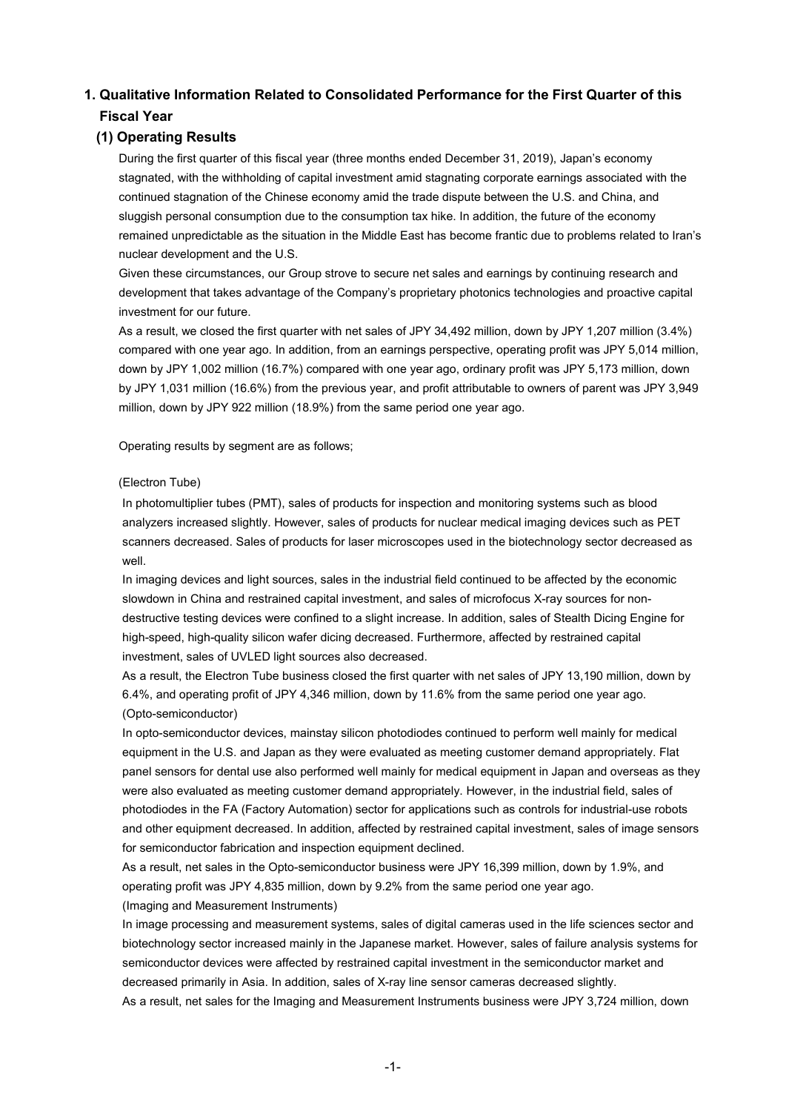# **1. Qualitative Information Related to Consolidated Performance for the First Quarter of this Fiscal Year**

## **(1) Operating Results**

During the first quarter of this fiscal year (three months ended December 31, 2019), Japan's economy stagnated, with the withholding of capital investment amid stagnating corporate earnings associated with the continued stagnation of the Chinese economy amid the trade dispute between the U.S. and China, and sluggish personal consumption due to the consumption tax hike. In addition, the future of the economy remained unpredictable as the situation in the Middle East has become frantic due to problems related to Iran's nuclear development and the U.S.

Given these circumstances, our Group strove to secure net sales and earnings by continuing research and development that takes advantage of the Company's proprietary photonics technologies and proactive capital investment for our future.

As a result, we closed the first quarter with net sales of JPY 34,492 million, down by JPY 1,207 million (3.4%) compared with one year ago. In addition, from an earnings perspective, operating profit was JPY 5,014 million, down by JPY 1,002 million (16.7%) compared with one year ago, ordinary profit was JPY 5,173 million, down by JPY 1,031 million (16.6%) from the previous year, and profit attributable to owners of parent was JPY 3,949 million, down by JPY 922 million (18.9%) from the same period one year ago.

Operating results by segment are as follows;

#### (Electron Tube)

In photomultiplier tubes (PMT), sales of products for inspection and monitoring systems such as blood analyzers increased slightly. However, sales of products for nuclear medical imaging devices such as PET scanners decreased. Sales of products for laser microscopes used in the biotechnology sector decreased as well.

In imaging devices and light sources, sales in the industrial field continued to be affected by the economic slowdown in China and restrained capital investment, and sales of microfocus X-ray sources for nondestructive testing devices were confined to a slight increase. In addition, sales of Stealth Dicing Engine for high-speed, high-quality silicon wafer dicing decreased. Furthermore, affected by restrained capital investment, sales of UVLED light sources also decreased.

As a result, the Electron Tube business closed the first quarter with net sales of JPY 13,190 million, down by 6.4%, and operating profit of JPY 4,346 million, down by 11.6% from the same period one year ago. (Opto-semiconductor)

In opto-semiconductor devices, mainstay silicon photodiodes continued to perform well mainly for medical equipment in the U.S. and Japan as they were evaluated as meeting customer demand appropriately. Flat panel sensors for dental use also performed well mainly for medical equipment in Japan and overseas as they were also evaluated as meeting customer demand appropriately. However, in the industrial field, sales of photodiodes in the FA (Factory Automation) sector for applications such as controls for industrial-use robots and other equipment decreased. In addition, affected by restrained capital investment, sales of image sensors for semiconductor fabrication and inspection equipment declined.

As a result, net sales in the Opto-semiconductor business were JPY 16,399 million, down by 1.9%, and operating profit was JPY 4,835 million, down by 9.2% from the same period one year ago. (Imaging and Measurement Instruments)

In image processing and measurement systems, sales of digital cameras used in the life sciences sector and biotechnology sector increased mainly in the Japanese market. However, sales of failure analysis systems for semiconductor devices were affected by restrained capital investment in the semiconductor market and decreased primarily in Asia. In addition, sales of X-ray line sensor cameras decreased slightly. As a result, net sales for the Imaging and Measurement Instruments business were JPY 3,724 million, down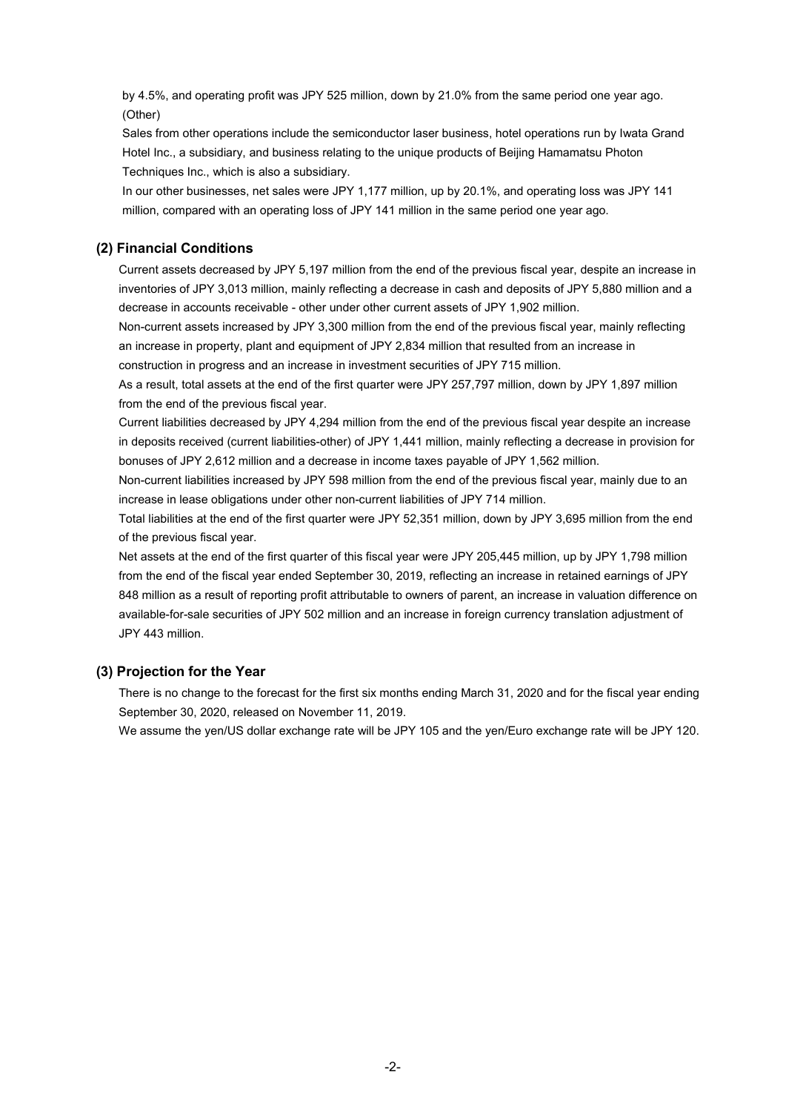by 4.5%, and operating profit was JPY 525 million, down by 21.0% from the same period one year ago. (Other)

Sales from other operations include the semiconductor laser business, hotel operations run by Iwata Grand Hotel Inc., a subsidiary, and business relating to the unique products of Beijing Hamamatsu Photon Techniques Inc., which is also a subsidiary.

In our other businesses, net sales were JPY 1,177 million, up by 20.1%, and operating loss was JPY 141 million, compared with an operating loss of JPY 141 million in the same period one year ago.

### **(2) Financial Conditions**

Current assets decreased by JPY 5,197 million from the end of the previous fiscal year, despite an increase in inventories of JPY 3,013 million, mainly reflecting a decrease in cash and deposits of JPY 5,880 million and a decrease in accounts receivable - other under other current assets of JPY 1,902 million.

Non-current assets increased by JPY 3,300 million from the end of the previous fiscal year, mainly reflecting an increase in property, plant and equipment of JPY 2,834 million that resulted from an increase in construction in progress and an increase in investment securities of JPY 715 million.

As a result, total assets at the end of the first quarter were JPY 257,797 million, down by JPY 1,897 million from the end of the previous fiscal year.

Current liabilities decreased by JPY 4,294 million from the end of the previous fiscal year despite an increase in deposits received (current liabilities-other) of JPY 1,441 million, mainly reflecting a decrease in provision for bonuses of JPY 2,612 million and a decrease in income taxes payable of JPY 1,562 million.

Non-current liabilities increased by JPY 598 million from the end of the previous fiscal year, mainly due to an increase in lease obligations under other non-current liabilities of JPY 714 million.

Total liabilities at the end of the first quarter were JPY 52,351 million, down by JPY 3,695 million from the end of the previous fiscal year.

Net assets at the end of the first quarter of this fiscal year were JPY 205,445 million, up by JPY 1,798 million from the end of the fiscal year ended September 30, 2019, reflecting an increase in retained earnings of JPY 848 million as a result of reporting profit attributable to owners of parent, an increase in valuation difference on available-for-sale securities of JPY 502 million and an increase in foreign currency translation adjustment of JPY 443 million.

### **(3) Projection for the Year**

There is no change to the forecast for the first six months ending March 31, 2020 and for the fiscal year ending September 30, 2020, released on November 11, 2019.

We assume the yen/US dollar exchange rate will be JPY 105 and the yen/Euro exchange rate will be JPY 120.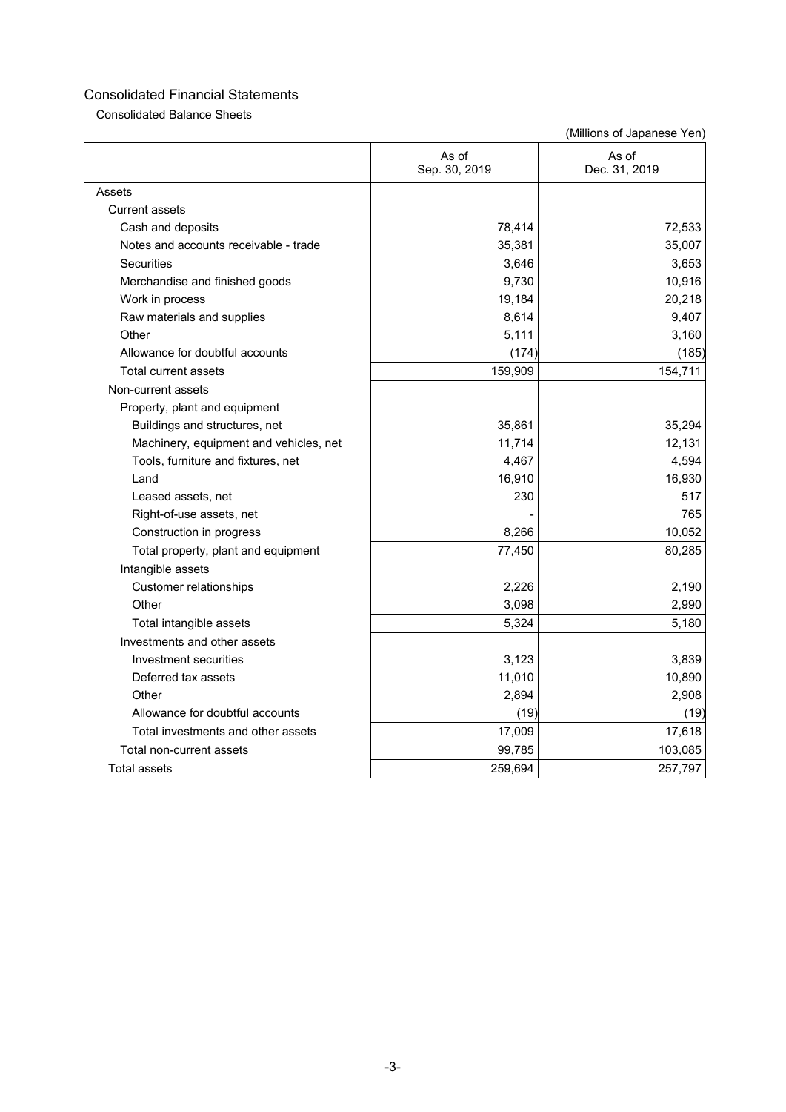Consolidated Balance Sheets

|                                        | As of<br>Sep. 30, 2019 | As of<br>Dec. 31, 2019 |
|----------------------------------------|------------------------|------------------------|
| Assets                                 |                        |                        |
| <b>Current assets</b>                  |                        |                        |
| Cash and deposits                      | 78,414                 | 72,533                 |
| Notes and accounts receivable - trade  | 35,381                 | 35,007                 |
| <b>Securities</b>                      | 3,646                  | 3,653                  |
| Merchandise and finished goods         | 9,730                  | 10,916                 |
| Work in process                        | 19,184                 | 20,218                 |
| Raw materials and supplies             | 8,614                  | 9,407                  |
| Other                                  | 5,111                  | 3,160                  |
| Allowance for doubtful accounts        | (174)                  | (185)                  |
| Total current assets                   | 159,909                | 154,711                |
| Non-current assets                     |                        |                        |
| Property, plant and equipment          |                        |                        |
| Buildings and structures, net          | 35,861                 | 35,294                 |
| Machinery, equipment and vehicles, net | 11,714                 | 12,131                 |
| Tools, furniture and fixtures, net     | 4,467                  | 4,594                  |
| Land                                   | 16,910                 | 16,930                 |
| Leased assets, net                     | 230                    | 517                    |
| Right-of-use assets, net               |                        | 765                    |
| Construction in progress               | 8,266                  | 10,052                 |
| Total property, plant and equipment    | 77,450                 | 80,285                 |
| Intangible assets                      |                        |                        |
| <b>Customer relationships</b>          | 2,226                  | 2,190                  |
| Other                                  | 3,098                  | 2,990                  |
| Total intangible assets                | 5,324                  | 5,180                  |
| Investments and other assets           |                        |                        |
| Investment securities                  | 3,123                  | 3,839                  |
| Deferred tax assets                    | 11,010                 | 10,890                 |
| Other                                  | 2,894                  | 2,908                  |
| Allowance for doubtful accounts        | (19)                   | (19)                   |
| Total investments and other assets     | 17,009                 | 17,618                 |
| Total non-current assets               | 99,785                 | 103,085                |
| <b>Total assets</b>                    | 259,694                | 257,797                |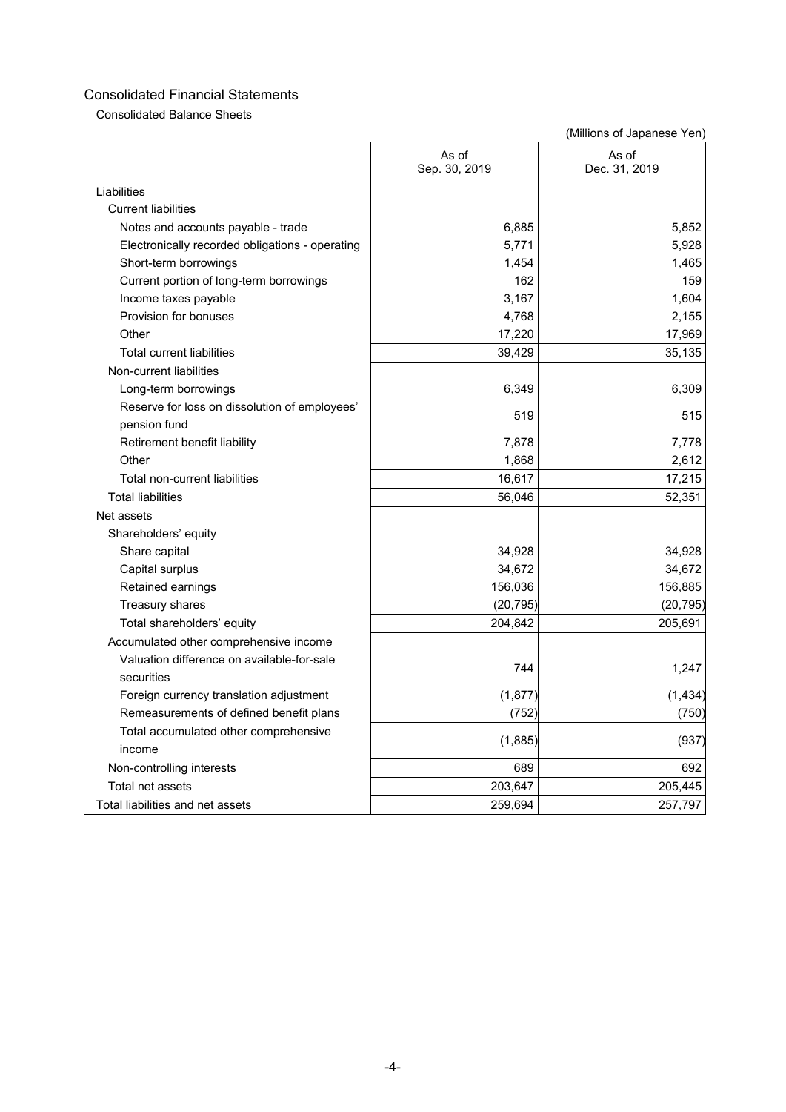Consolidated Balance Sheets

|                                                               | As of<br>Sep. 30, 2019 | As of<br>Dec. 31, 2019 |
|---------------------------------------------------------------|------------------------|------------------------|
| Liabilities                                                   |                        |                        |
| <b>Current liabilities</b>                                    |                        |                        |
| Notes and accounts payable - trade                            | 6,885                  | 5,852                  |
| Electronically recorded obligations - operating               | 5,771                  | 5,928                  |
| Short-term borrowings                                         | 1,454                  | 1,465                  |
| Current portion of long-term borrowings                       | 162                    | 159                    |
| Income taxes payable                                          | 3,167                  | 1,604                  |
| Provision for bonuses                                         | 4,768                  | 2,155                  |
| Other                                                         | 17,220                 | 17,969                 |
| <b>Total current liabilities</b>                              | 39,429                 | 35,135                 |
| Non-current liabilities                                       |                        |                        |
| Long-term borrowings                                          | 6,349                  | 6,309                  |
| Reserve for loss on dissolution of employees'<br>pension fund | 519                    | 515                    |
| Retirement benefit liability                                  | 7,878                  | 7,778                  |
| Other                                                         | 1,868                  | 2,612                  |
| Total non-current liabilities                                 | 16,617                 | 17,215                 |
| <b>Total liabilities</b>                                      | 56,046                 | 52,351                 |
| Net assets                                                    |                        |                        |
| Shareholders' equity                                          |                        |                        |
| Share capital                                                 | 34,928                 | 34,928                 |
| Capital surplus                                               | 34,672                 | 34,672                 |
| Retained earnings                                             | 156,036                | 156,885                |
| Treasury shares                                               | (20, 795)              | (20, 795)              |
| Total shareholders' equity                                    | 204,842                | 205,691                |
| Accumulated other comprehensive income                        |                        |                        |
| Valuation difference on available-for-sale<br>securities      | 744                    | 1,247                  |
| Foreign currency translation adjustment                       | (1, 877)               | (1, 434)               |
| Remeasurements of defined benefit plans                       | (752)                  | (750)                  |
| Total accumulated other comprehensive<br>income               | (1,885)                | (937)                  |
| Non-controlling interests                                     | 689                    | 692                    |
| Total net assets                                              | 203,647                | 205,445                |
| Total liabilities and net assets                              | 259,694                | 257,797                |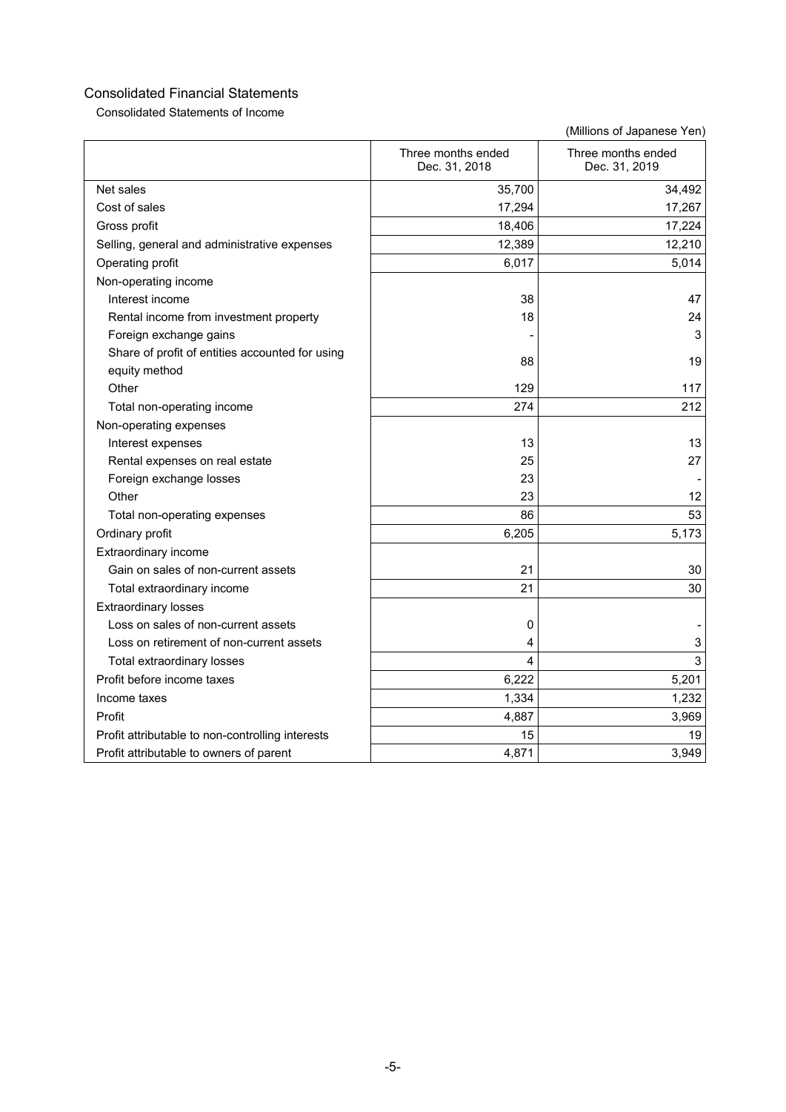Consolidated Statements of Income

|                                                  | Three months ended<br>Dec. 31, 2018 | Three months ended<br>Dec. 31, 2019 |
|--------------------------------------------------|-------------------------------------|-------------------------------------|
| Net sales                                        | 35,700                              | 34,492                              |
| Cost of sales                                    | 17,294                              | 17,267                              |
| Gross profit                                     | 18,406                              | 17,224                              |
| Selling, general and administrative expenses     | 12,389                              | 12,210                              |
| Operating profit                                 | 6,017                               | 5,014                               |
| Non-operating income                             |                                     |                                     |
| Interest income                                  | 38                                  | 47                                  |
| Rental income from investment property           | 18                                  | 24                                  |
| Foreign exchange gains                           |                                     | 3                                   |
| Share of profit of entities accounted for using  | 88                                  | 19                                  |
| equity method                                    |                                     |                                     |
| Other                                            | 129                                 | 117                                 |
| Total non-operating income                       | 274                                 | 212                                 |
| Non-operating expenses                           |                                     |                                     |
| Interest expenses                                | 13                                  | 13                                  |
| Rental expenses on real estate                   | 25                                  | 27                                  |
| Foreign exchange losses                          | 23                                  |                                     |
| Other                                            | 23                                  | 12                                  |
| Total non-operating expenses                     | 86                                  | 53                                  |
| Ordinary profit                                  | 6,205                               | 5,173                               |
| Extraordinary income                             |                                     |                                     |
| Gain on sales of non-current assets              | 21                                  | 30                                  |
| Total extraordinary income                       | 21                                  | 30                                  |
| <b>Extraordinary losses</b>                      |                                     |                                     |
| Loss on sales of non-current assets              | 0                                   |                                     |
| Loss on retirement of non-current assets         | 4                                   | 3                                   |
| Total extraordinary losses                       | 4                                   | 3                                   |
| Profit before income taxes                       | 6,222                               | 5,201                               |
| Income taxes                                     | 1,334                               | 1,232                               |
| Profit                                           | 4,887                               | 3,969                               |
| Profit attributable to non-controlling interests | 15                                  | 19                                  |
| Profit attributable to owners of parent          | 4,871                               | 3,949                               |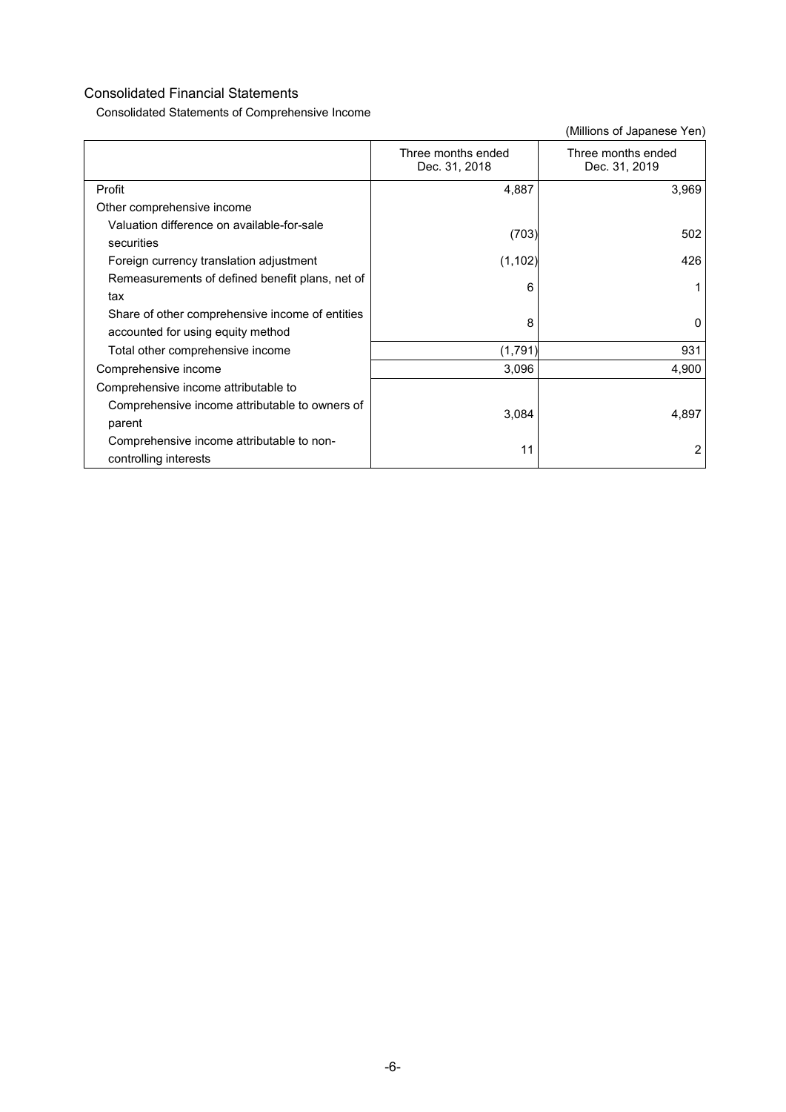Consolidated Statements of Comprehensive Income

|                                                                                      | Three months ended<br>Dec. 31, 2018 | Three months ended<br>Dec. 31, 2019 |
|--------------------------------------------------------------------------------------|-------------------------------------|-------------------------------------|
| Profit                                                                               | 4,887                               | 3,969                               |
| Other comprehensive income                                                           |                                     |                                     |
| Valuation difference on available-for-sale<br>securities                             | (703)                               | 502                                 |
| Foreign currency translation adjustment                                              | (1, 102)                            | 426                                 |
| Remeasurements of defined benefit plans, net of<br>tax                               | 6                                   |                                     |
| Share of other comprehensive income of entities<br>accounted for using equity method | 8                                   | 0                                   |
| Total other comprehensive income                                                     | (1,791)                             | 931                                 |
| Comprehensive income                                                                 | 3,096                               | 4,900                               |
| Comprehensive income attributable to                                                 |                                     |                                     |
| Comprehensive income attributable to owners of<br>parent                             | 3,084                               | 4,897                               |
| Comprehensive income attributable to non-<br>controlling interests                   | 11                                  | 2                                   |